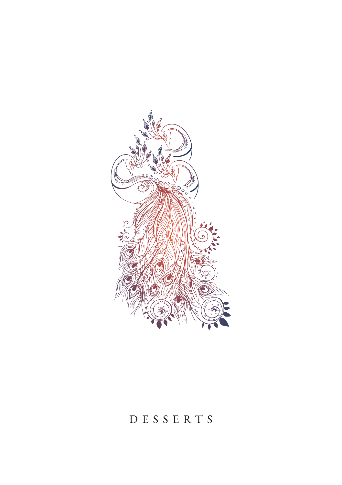

## DESSERTS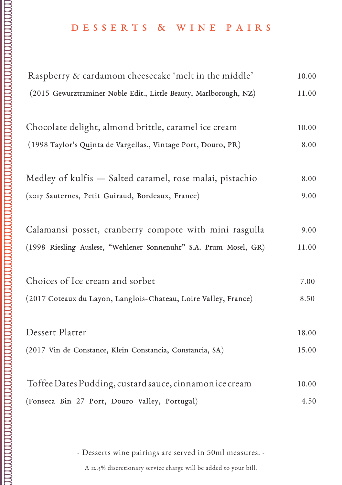## D E S S E R T S & W I N E P A I R S

| Raspberry & cardamom cheesecake 'melt in the middle'              | 10.00 |
|-------------------------------------------------------------------|-------|
| (2015 Gewurztraminer Noble Edit., Little Beauty, Marlborough, NZ) | 11.00 |
| Chocolate delight, almond brittle, caramel ice cream              | 10.00 |
| (1998 Taylor's Quinta de Vargellas., Vintage Port, Douro, PR)     | 8.00  |
| Medley of kulfis - Salted caramel, rose malai, pistachio          | 8.00  |
| (2017 Sauternes, Petit Guiraud, Bordeaux, France)                 | 9.00  |
| Calamansi posset, cranberry compote with mini rasgulla            | 9.00  |
| (1998 Riesling Auslese, "Wehlener Sonnenuhr" S.A. Prum Mosel, GR) | 11.00 |
| Choices of Ice cream and sorbet                                   | 7.00  |
| (2017 Coteaux du Layon, Langlois-Chateau, Loire Valley, France)   | 8.50  |
| Dessert Platter                                                   | 18.00 |
| (2017 Vin de Constance, Klein Constancia, Constancia, SA)         | 15.00 |
| Toffee Dates Pudding, custard sauce, cinnamon ice cream           | 10.00 |
| (Fonseca Bin 27 Port, Douro Valley, Portugal)                     | 4.50  |

- Desserts wine pairings are served in 50ml measures. -

A 12.5% discretionary service charge will be added to your bill.  $\cdot$